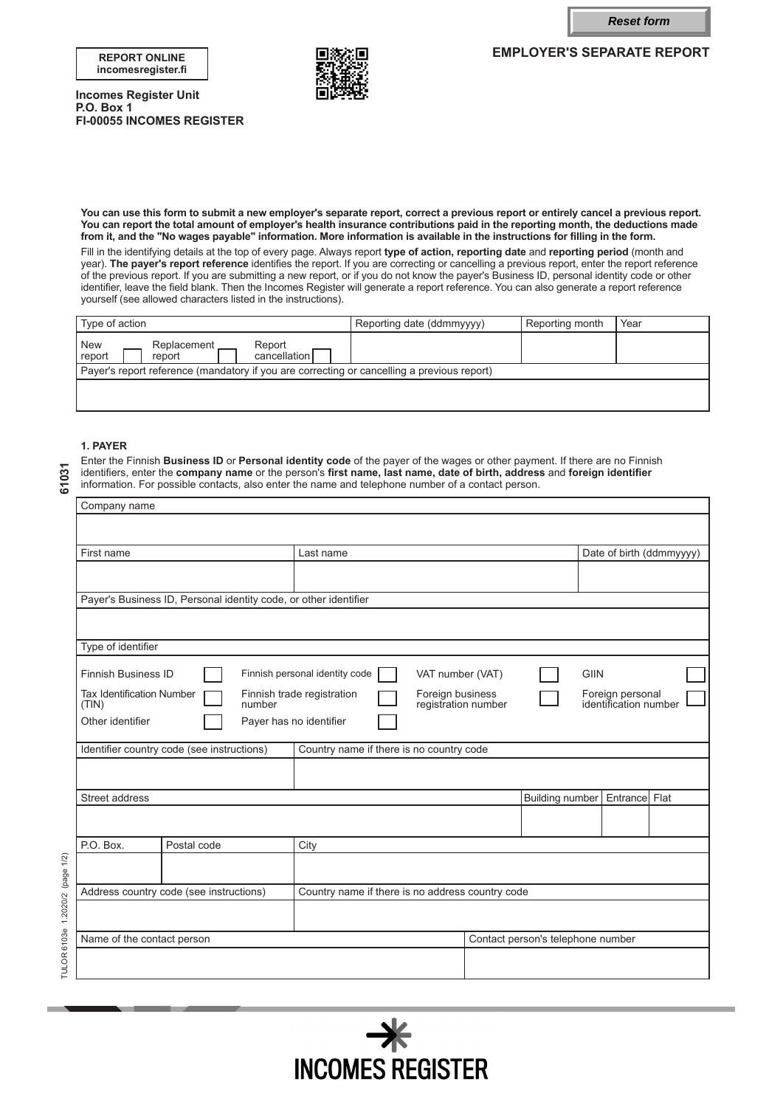**Reset form**

**EMPLOYER'S SEPARATE REPORT**





**Incomes Register Unit P.O. Box 1 FI-00055 INCOMES REGISTER**

**You can use this form to submit a new employer's separate report, correct a previous report or entirely cancel a previous report. You can report the total amount of employer's health insurance contributions paid in the reporting month, the deductions made from it, and the "No wages payable" information. More information is available in the instructions for filling in the form.**

Fill in the identifying details at the top of every page. Always report **type of action, reporting date** and **reporting period** (month and year). **The payer's report reference** identifies the report. If you are correcting or cancelling a previous report, enter the report reference of the previous report. If you are submitting a new report, or if you do not know the payer's Business ID, personal identity code or other identifier, leave the field blank. Then the Incomes Register will generate a report reference. You can also generate a report reference yourself (see allowed characters listed in the instructions).

| I Type of action                                                                           | Reporting date (ddmmyyyy) | Reporting month | Year |  |
|--------------------------------------------------------------------------------------------|---------------------------|-----------------|------|--|
| New<br>report<br>Replacement<br>Report<br>cancellation<br>report                           |                           |                 |      |  |
| Payer's report reference (mandatory if you are correcting or cancelling a previous report) |                           |                 |      |  |
|                                                                                            |                           |                 |      |  |

## **1. PAYER**

Enter the Finnish **Business ID** or **Personal identity code** of the payer of the wages or other payment. If there are no Finnish identifiers, enter the **company name** or the person's **first name, last name, date of birth, address** and **foreign identifier** information. For possible contacts, also enter the name and telephone number of a contact person.

|                     | Company name                               |                                                                  |                                                                       |  |                        |                                           |  |  |
|---------------------|--------------------------------------------|------------------------------------------------------------------|-----------------------------------------------------------------------|--|------------------------|-------------------------------------------|--|--|
|                     |                                            |                                                                  |                                                                       |  |                        |                                           |  |  |
|                     | First name                                 |                                                                  | Last name                                                             |  |                        | Date of birth (ddmmyyyy)                  |  |  |
|                     |                                            |                                                                  |                                                                       |  |                        |                                           |  |  |
|                     |                                            | Payer's Business ID, Personal identity code, or other identifier |                                                                       |  |                        |                                           |  |  |
|                     |                                            |                                                                  |                                                                       |  |                        |                                           |  |  |
|                     | Type of identifier                         |                                                                  |                                                                       |  |                        |                                           |  |  |
|                     | <b>Finnish Business ID</b>                 |                                                                  | Finnish personal identity code<br>VAT number (VAT)                    |  | <b>GIIN</b>            |                                           |  |  |
|                     | <b>Tax Identification Number</b><br>(TIN)  | number                                                           | Finnish trade registration<br>Foreign business<br>registration number |  |                        | Foreign personal<br>identification number |  |  |
|                     | Other identifier                           |                                                                  | Payer has no identifier                                               |  |                        |                                           |  |  |
|                     | Identifier country code (see instructions) |                                                                  | Country name if there is no country code                              |  |                        |                                           |  |  |
|                     |                                            |                                                                  |                                                                       |  |                        |                                           |  |  |
|                     | Street address                             |                                                                  |                                                                       |  | <b>Building number</b> | Entrance Flat                             |  |  |
|                     |                                            |                                                                  |                                                                       |  |                        |                                           |  |  |
|                     | P.O. Box.                                  | Postal code                                                      | City                                                                  |  |                        |                                           |  |  |
| 1.2020/2 (page 1/2) |                                            |                                                                  |                                                                       |  |                        |                                           |  |  |
|                     | Address country code (see instructions)    |                                                                  | Country name if there is no address country code                      |  |                        |                                           |  |  |
|                     |                                            |                                                                  |                                                                       |  |                        |                                           |  |  |
|                     | Name of the contact person                 |                                                                  |                                                                       |  |                        | Contact person's telephone number         |  |  |
| TULOR 6103e         |                                            |                                                                  |                                                                       |  |                        |                                           |  |  |
|                     |                                            |                                                                  |                                                                       |  |                        |                                           |  |  |



**61031**